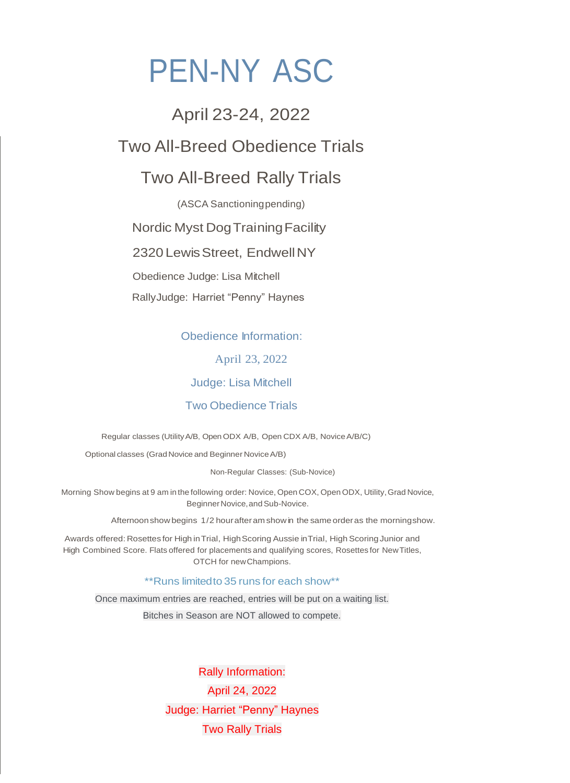# PEN-NY ASC

# April 23-24, 2022

# Two All-Breed Obedience Trials

# Two All-Breed Rally Trials

(ASCA Sanctioningpending)

Nordic Myst Dog Training Facility

2320 Lewis Street, Endwell NY

Obedience Judge: Lisa Mitchell

RallyJudge: Harriet "Penny" Haynes

Obedience Information:

April 23, 2022

Judge: Lisa Mitchell

Two Obedience Trials

Regular classes (UtilityA/B, Open ODX A/B, Open CDX A/B, NoviceA/B/C)

Optional classes (Grad Novice and Beginner NoviceA/B)

Non-Regular Classes: (Sub-Novice)

Morning Show begins at 9 am in the following order: Novice, Open COX, Open ODX, Utility,Grad Novice, Beginner Novice, and Sub-Novice.

Afternoonshow begins 1/2 hourafteram showin the same orderas the morningshow.

Awards offered: Rosettes for High in Trial, High Scoring Aussie in Trial, High Scoring Junior and High Combined Score. Flats offered for placements and qualifying scores, Rosettes for NewTitles, OTCH for newChampions.

\*\*Runs limitedto 35 runs for each show\*\*

Once maximum entries are reached, entries will be put on a waiting list.

Bitches in Season are NOT allowed to compete.

Rally Information: April 24, 2022 Judge: Harriet "Penny" Haynes Two Rally Trials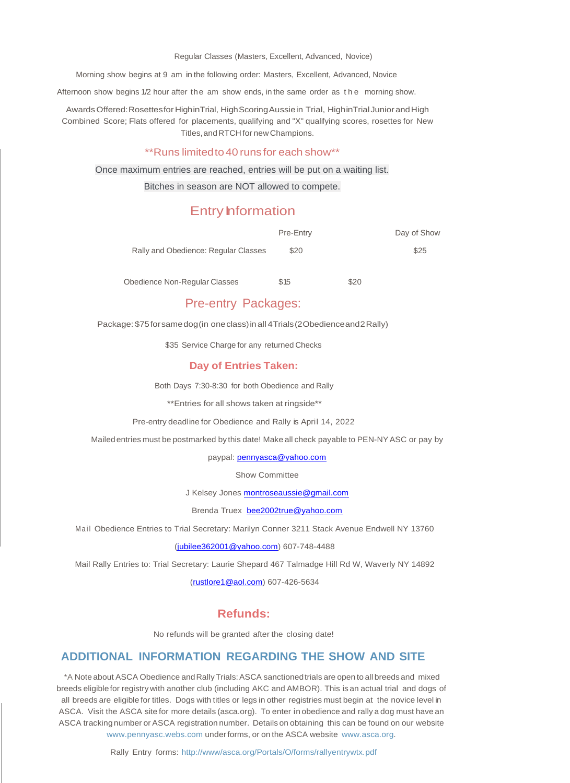Regular Classes (Masters, Excellent, Advanced, Novice)

Morning show begins at 9 am in the following order: Masters, Excellent, Advanced, Novice

Afternoon show begins 1/2 hour after the am show ends, in the same order as the morning show.

Awards Offered: Rosettesfor HighinTrial, High Scoring Aussie in Trial, HighinTrial Junior and High Combined Score; Flats offered for placements, qualifying and "X" qualifying scores, rosettes for New Titles,andRTCH for newChampions.

#### \*\*Runs limitedto40 runs for each show\*\*

Once maximum entries are reached, entries will be put on a waiting list.

#### Bitches in season are NOT allowed to compete.

# Entry **Information**

|                                      | Pre-Entry | Day of Show |
|--------------------------------------|-----------|-------------|
| Rally and Obedience: Regular Classes | \$20      | \$25        |
|                                      |           |             |

Obedience Non-Regular Classes  $$15$  \$20

# Pre-entry Packages:

Package: \$75forsamedog(in oneclass)in all 4Trials(2Obedienceand2Rally)

\$35 Service Charge for any returned Checks

#### **Day of Entries Taken:**

Both Days 7:30-8:30 for both Obedience and Rally

\*\*Entries for all shows taken at ringside\*\*

Pre-entry deadline for Obedience and Rally is April 14, 2022

Mailedentries must be postmarked by this date! Make all check payable to PEN-NYASC or pay by

paypal: **pennyasca@yahoo.com** 

Show Committee

J Kelsey Jones [montroseaussie@gmail.com](mailto:montroseaussie@gmail.com)

Brenda Truex [bee2002true@yahoo.com](mailto:bee2002true@yahoo.com)

Mail Obedience Entries to Trial Secretary: Marilyn Conner 3211 Stack Avenue Endwell NY 13760

#### [\(jubilee362001@yahoo.com\)](mailto:jubilee362001@yahoo.com) 607-748-4488

Mail Rally Entries to: Trial Secretary: Laurie Shepard 467 Talmadge Hill Rd W, Waverly NY 14892

[\(rustlore1@aol.com\)](mailto:rustlore1@aol.com) 607-426-5634

#### **Refunds:**

No refunds will be granted after the closing date!

# **ADDITIONAL INFORMATION REGARDING THE SHOW AND SITE**

\*A Note about ASCA Obedience andRallyTrials:ASCA sanctionedtrials are open to all breedsand mixed breeds eligiblefor registry with another club (including AKC and AMBOR). This is an actual trial and dogs of all breeds are eligible for titles. Dogs with titles or legs in other registries must begin at the novice level in ASCA. Visit the ASCA site for more details (asca.org). To enter in obedience and rally a dog must have an ASCA trackingnumber or ASCA registration number. Details on obtaining this can be found on our website [www.pennyasc.webs.com](http://www.pennyasc.webs.com/) underforms, or on the ASCA website [www.asca.org.](http://www.asca.org/)

Rally Entry forms: [http://www/asca.org/Portals/O/forms/rallyentrywtx.p](http://www/asca.org/Portals/O/forms/rallyentrywtx)df